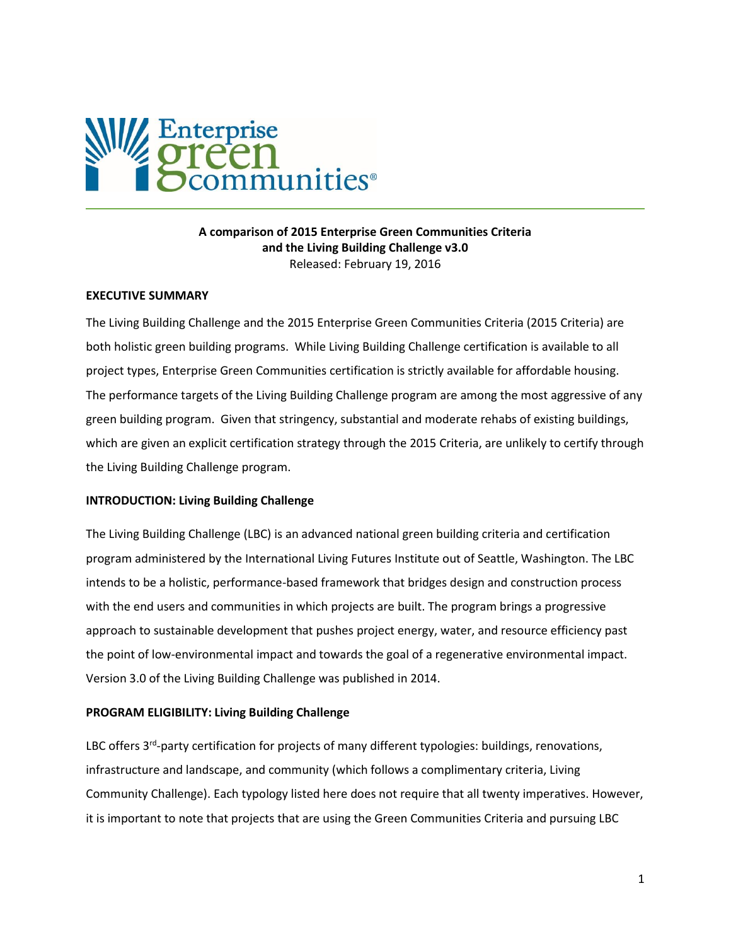

## **A comparison of 2015 Enterprise Green Communities Criteria and the Living Building Challenge v3.0** Released: February 19, 2016

#### **EXECUTIVE SUMMARY**

The Living Building Challenge and the 2015 Enterprise Green Communities Criteria (2015 Criteria) are both holistic green building programs. While Living Building Challenge certification is available to all project types, Enterprise Green Communities certification is strictly available for affordable housing. The performance targets of the Living Building Challenge program are among the most aggressive of any green building program. Given that stringency, substantial and moderate rehabs of existing buildings, which are given an explicit certification strategy through the 2015 Criteria, are unlikely to certify through the Living Building Challenge program.

#### **INTRODUCTION: Living Building Challenge**

The Living Building Challenge (LBC) is an advanced national green building criteria and certification program administered by the International Living Futures Institute out of Seattle, Washington. The LBC intends to be a holistic, performance-based framework that bridges design and construction process with the end users and communities in which projects are built. The program brings a progressive approach to sustainable development that pushes project energy, water, and resource efficiency past the point of low-environmental impact and towards the goal of a regenerative environmental impact. Version 3.0 of the Living Building Challenge was published in 2014.

#### **PROGRAM ELIGIBILITY: Living Building Challenge**

LBC offers 3<sup>rd</sup>-party certification for projects of many different typologies: buildings, renovations, infrastructure and landscape, and community (which follows a complimentary criteria, Living Community Challenge). Each typology listed here does not require that all twenty imperatives. However, it is important to note that projects that are using the Green Communities Criteria and pursuing LBC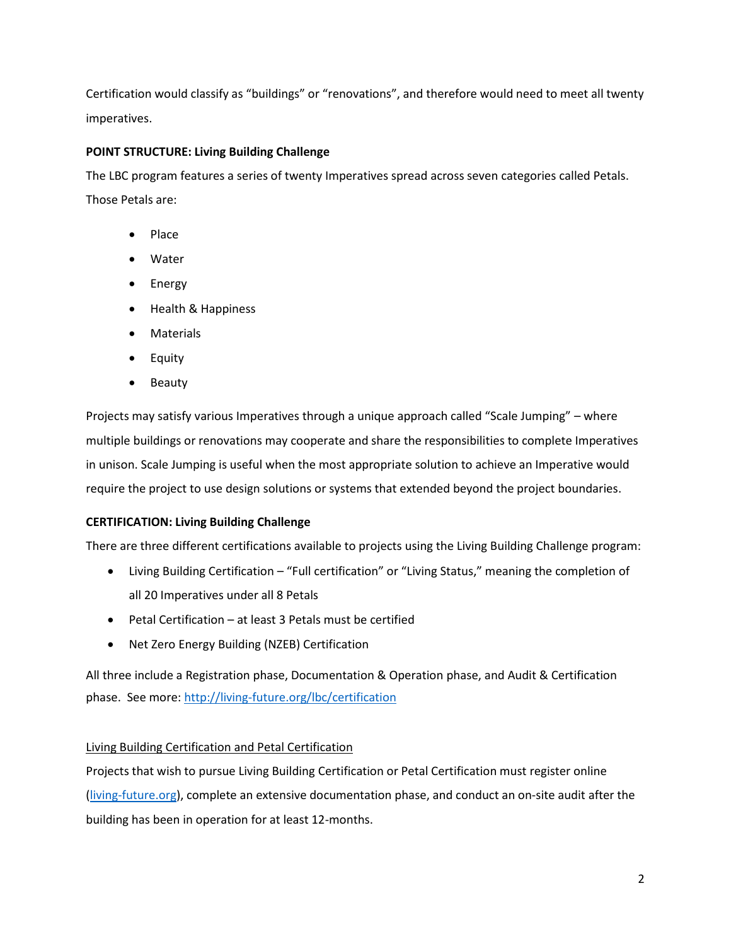Certification would classify as "buildings" or "renovations", and therefore would need to meet all twenty imperatives.

# **POINT STRUCTURE: Living Building Challenge**

The LBC program features a series of twenty Imperatives spread across seven categories called Petals. Those Petals are:

- Place
- Water
- Energy
- Health & Happiness
- Materials
- Equity
- Beauty

Projects may satisfy various Imperatives through a unique approach called "Scale Jumping" – where multiple buildings or renovations may cooperate and share the responsibilities to complete Imperatives in unison. Scale Jumping is useful when the most appropriate solution to achieve an Imperative would require the project to use design solutions or systems that extended beyond the project boundaries.

# **CERTIFICATION: Living Building Challenge**

There are three different certifications available to projects using the Living Building Challenge program:

- Living Building Certification "Full certification" or "Living Status," meaning the completion of all 20 Imperatives under all 8 Petals
- Petal Certification at least 3 Petals must be certified
- Net Zero Energy Building (NZEB) Certification

All three include a Registration phase, Documentation & Operation phase, and Audit & Certification phase. See more:<http://living-future.org/lbc/certification>

# Living Building Certification and Petal Certification

Projects that wish to pursue Living Building Certification or Petal Certification must register online [\(living-future.org\)](file:///C:/Users/rdemers/Downloads/living-future.org), complete an extensive documentation phase, and conduct an on-site audit after the building has been in operation for at least 12-months.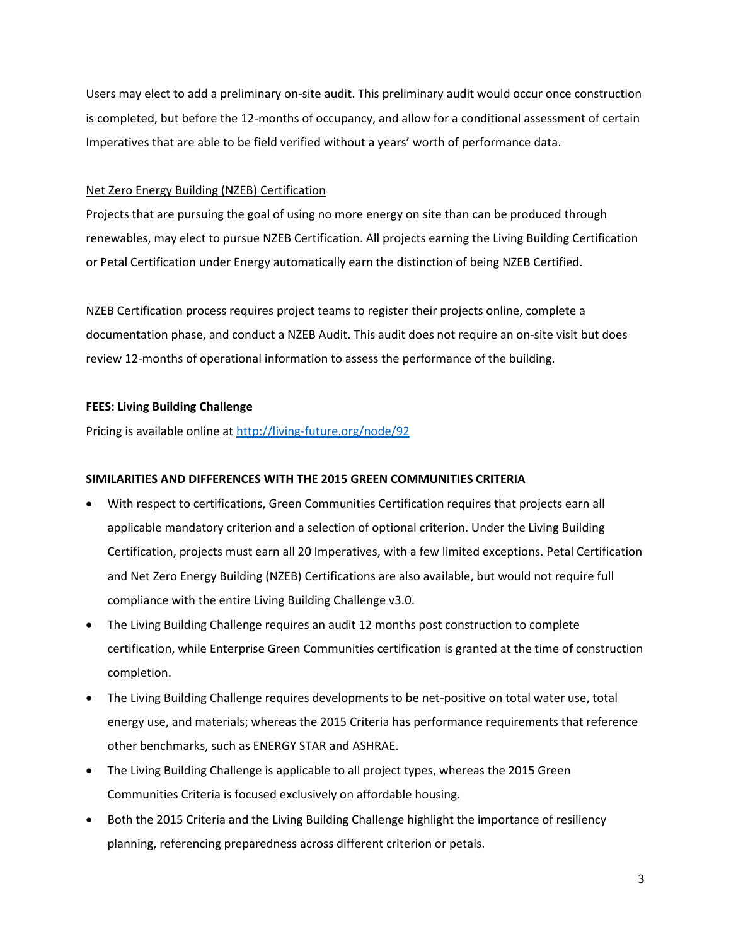Users may elect to add a preliminary on-site audit. This preliminary audit would occur once construction is completed, but before the 12-months of occupancy, and allow for a conditional assessment of certain Imperatives that are able to be field verified without a years' worth of performance data.

#### Net Zero Energy Building (NZEB) Certification

Projects that are pursuing the goal of using no more energy on site than can be produced through renewables, may elect to pursue NZEB Certification. All projects earning the Living Building Certification or Petal Certification under Energy automatically earn the distinction of being NZEB Certified.

NZEB Certification process requires project teams to register their projects online, complete a documentation phase, and conduct a NZEB Audit. This audit does not require an on-site visit but does review 12-months of operational information to assess the performance of the building.

### **FEES: Living Building Challenge**

Pricing is available online at<http://living-future.org/node/92>

### **SIMILARITIES AND DIFFERENCES WITH THE 2015 GREEN COMMUNITIES CRITERIA**

- With respect to certifications, Green Communities Certification requires that projects earn all applicable mandatory criterion and a selection of optional criterion. Under the Living Building Certification, projects must earn all 20 Imperatives, with a few limited exceptions. Petal Certification and Net Zero Energy Building (NZEB) Certifications are also available, but would not require full compliance with the entire Living Building Challenge v3.0.
- The Living Building Challenge requires an audit 12 months post construction to complete certification, while Enterprise Green Communities certification is granted at the time of construction completion.
- The Living Building Challenge requires developments to be net-positive on total water use, total energy use, and materials; whereas the 2015 Criteria has performance requirements that reference other benchmarks, such as ENERGY STAR and ASHRAE.
- The Living Building Challenge is applicable to all project types, whereas the 2015 Green Communities Criteria is focused exclusively on affordable housing.
- Both the 2015 Criteria and the Living Building Challenge highlight the importance of resiliency planning, referencing preparedness across different criterion or petals.